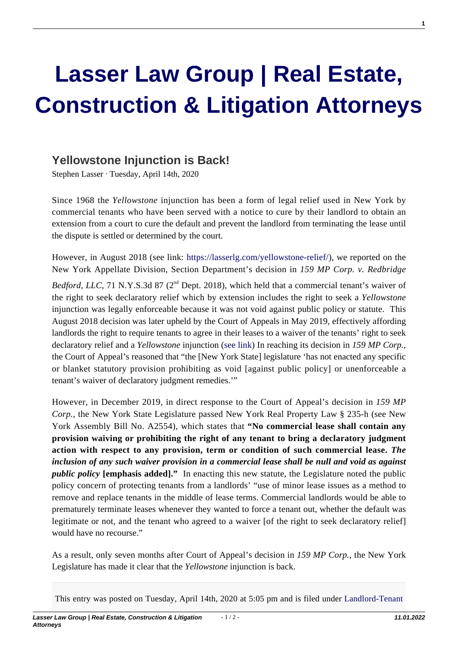## **[Lasser Law Group | Real Estate,](https://lasserlg.com/) [Construction & Litigation Attorneys](https://lasserlg.com/)**

## **[Yellowstone Injunction is Back!](https://lasserlg.com/yellowstone-injunction-is-back/)**

Stephen Lasser · Tuesday, April 14th, 2020

Since 1968 the *Yellowstone* injunction has been a form of legal relief used in New York by commercial tenants who have been served with a notice to cure by their landlord to obtain an extension from a court to cure the default and prevent the landlord from terminating the lease until the dispute is settled or determined by the court.

However, in August 2018 (see link: <https://lasserlg.com/yellowstone-relief/>), we reported on the New York Appellate Division, Section Department's decision in *159 MP Corp. v. Redbridge*

*Bedford, LLC,* 71 N.Y.S.3d 87 (2<sup>nd</sup> Dept. 2018), which held that a commercial tenant's waiver of the right to seek declaratory relief which by extension includes the right to seek a *Yellowstone* injunction was legally enforceable because it was not void against public policy or statute. This August 2018 decision was later upheld by the Court of Appeals in May 2019, effectively affording landlords the right to require tenants to agree in their leases to a waiver of the tenants' right to seek declaratory relief and a *Yellowstone* injunction ([see link](https://lasserlg.com/wp-content/uploads/2020/12/Waiver-of-Yellowstone-Injunction-Upheld-by-Court-of-Appeals-Yellowstone-Legal-Update.pdf)) In reaching its decision in *159 MP Corp.*, the Court of Appeal's reasoned that "the [New York State] legislature 'has not enacted any specific or blanket statutory provision prohibiting as void [against public policy] or unenforceable a tenant's waiver of declaratory judgment remedies.'"

However, in December 2019, in direct response to the Court of Appeal's decision in *159 MP Corp.*, the New York State Legislature passed New York Real Property Law § 235-h (see New York Assembly Bill No. A2554), which states that **"No commercial lease shall contain any provision waiving or prohibiting the right of any tenant to bring a declaratory judgment action with respect to any provision, term or condition of such commercial lease.** *The inclusion of any such waiver provision in a commercial lease shall be null and void as against public policy* **[emphasis added]."** In enacting this new statute, the Legislature noted the public policy concern of protecting tenants from a landlords' "use of minor lease issues as a method to remove and replace tenants in the middle of lease terms. Commercial landlords would be able to prematurely terminate leases whenever they wanted to force a tenant out, whether the default was legitimate or not, and the tenant who agreed to a waiver [of the right to seek declaratory relief] would have no recourse."

As a result, only seven months after Court of Appeal's decision in *159 MP Corp.*, the New York Legislature has made it clear that the *Yellowstone* injunction is back.

This entry was posted on Tuesday, April 14th, 2020 at 5:05 pm and is filed under [Landlord-Tenant](https://lasserlg.com/category/landlord-tenant/)

**1**